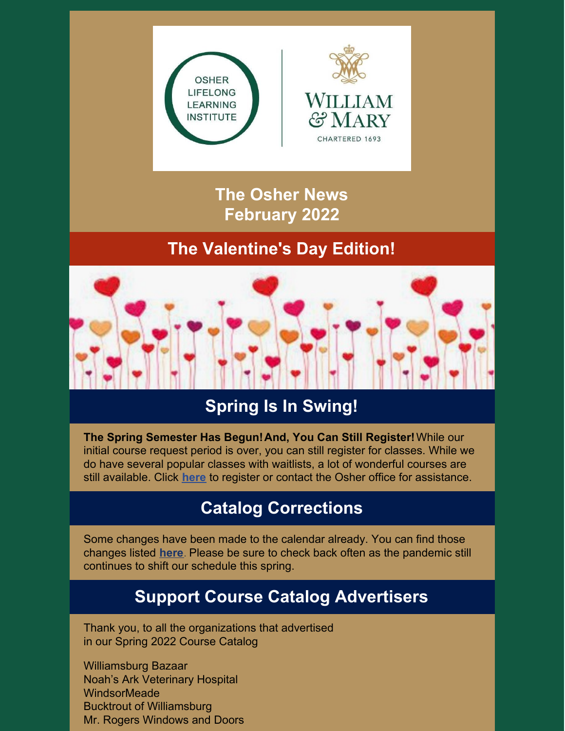



**The Osher News February 2022**

## **The Valentine's Day Edition!**



# **Spring Is In Swing!**

**The Spring Semester Has Begun!And, You Can Still Register!**While our initial course request period is over, you can still register for classes. While we do have several popular classes with waitlists, a lot of wonderful courses are still available. Click **[here](https://wm.irisregistration.com/Site/OSH2022REGSPR)** to register or contact the Osher office for assistance.

## **Catalog Corrections**

Some changes have been made to the calendar already. You can find those changes listed **[here](https://www.wm.edu/offices/auxiliary/osher/announcements/catalog-changes.php)**. Please be sure to check back often as the pandemic still continues to shift our schedule this spring.

# **Support Course Catalog Advertisers**

Thank you, to all the organizations that advertised in our Spring 2022 Course Catalog

Williamsburg Bazaar Noah's Ark Veterinary Hospital **WindsorMeade** Bucktrout of Williamsburg Mr. Rogers Windows and Doors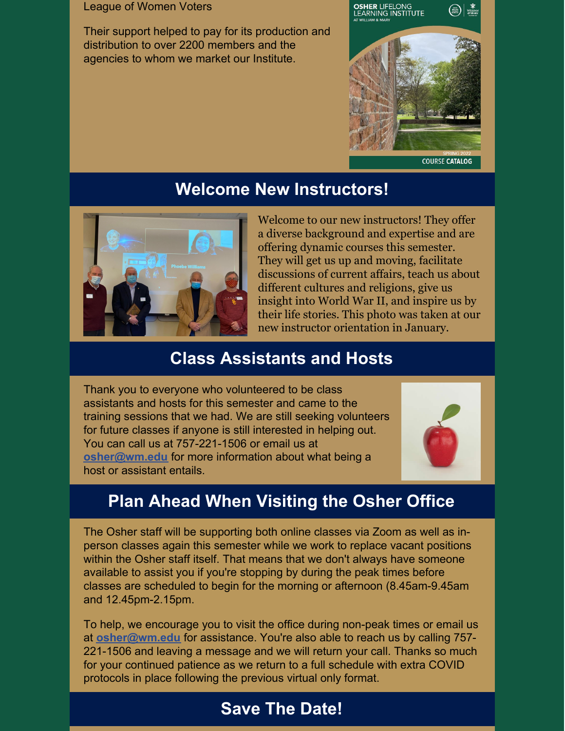#### League of Women Voters

Their support helped to pay for its production and distribution to over 2200 members and the agencies to whom we market our Institute.



**COURSE CATALOG** 

## **Welcome New Instructors!**



Welcome to our new instructors! They offer a diverse background and expertise and are offering dynamic courses this semester. They will get us up and moving, facilitate discussions of current affairs, teach us about different cultures and religions, give us insight into World War II, and inspire us by their life stories. This photo was taken at our new instructor orientation in January.

## **Class Assistants and Hosts**

Thank you to everyone who volunteered to be class assistants and hosts for this semester and came to the training sessions that we had. We are still seeking volunteers for future classes if anyone is still interested in helping out. You can call us at 757-221-1506 or email us at **[osher@wm.edu](mailto:osher@wm.edu)** for more information about what being a host or assistant entails.



# **Plan Ahead When Visiting the Osher Office**

The Osher staff will be supporting both online classes via Zoom as well as inperson classes again this semester while we work to replace vacant positions within the Osher staff itself. That means that we don't always have someone available to assist you if you're stopping by during the peak times before classes are scheduled to begin for the morning or afternoon (8.45am-9.45am and 12.45pm-2.15pm.

To help, we encourage you to visit the office during non-peak times or email us at **[osher@wm.edu](mailto:osher@wm.edu)** for assistance. You're also able to reach us by calling 757- 221-1506 and leaving a message and we will return your call. Thanks so much for your continued patience as we return to a full schedule with extra COVID protocols in place following the previous virtual only format.

## **Save The Date!**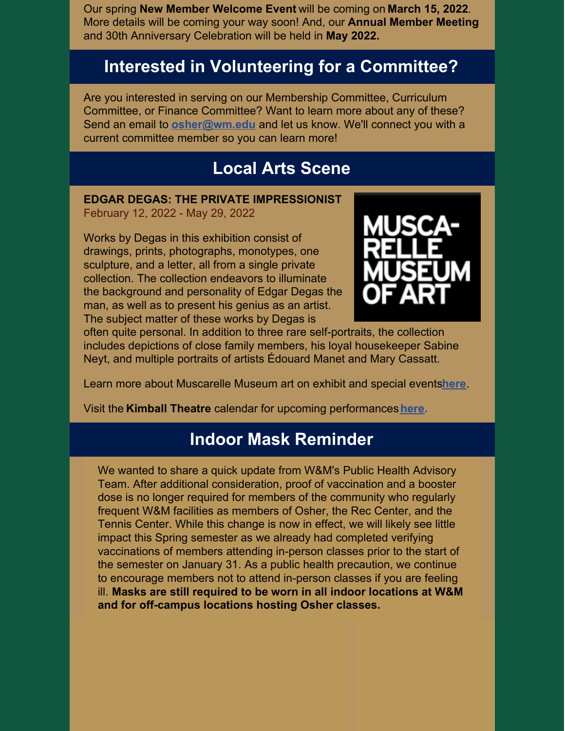Our spring **New Member Welcome Event** will be coming on **March 15, 2022**. More details will be coming your way soon! And, our **Annual Member Meeting** and 30th Anniversary Celebration will be held in **May 2022.**

## **Interested in Volunteering for a Committee?**

Are you interested in serving on our Membership Committee, Curriculum Committee, or Finance Committee? Want to learn more about any of these? Send an email to **[osher@wm.edu](mailto:osher@wm.edu)** and let us know. We'll connect you with a current committee member so you can learn more!

#### **Local Arts Scene**

#### **EDGAR DEGAS: THE PRIVATE IMPRESSIONIST** February 12, 2022 - May 29, 2022

Works by Degas in this exhibition consist of drawings, prints, photographs, monotypes, one sculpture, and a letter, all from a single private collection. The collection endeavors to illuminate the background and personality of Edgar Degas the man, as well as to present his genius as an artist. The subject matter of these works by Degas is



often quite personal. In addition to three rare self-portraits, the collection includes depictions of close family members, his loyal housekeeper Sabine Neyt, and multiple portraits of artists Édouard Manet and Mary Cassatt.

Learn more about Muscarelle Museum art on exhibit and special events**[here](https://events.wm.edu/event/view/kimball/126609)**.

Visit the **Kimball Theatre** calendar for upcoming performances**[here](https://events.wm.edu/calendar/upcoming/kimball/).**

## **Indoor Mask Reminder**

We wanted to share a quick update from W&M's Public Health Advisory Team. After additional consideration, proof of vaccination and a booster dose is no longer required for members of the community who regularly frequent W&M facilities as members of Osher, the Rec Center, and the Tennis Center. While this change is now in effect, we will likely see little impact this Spring semester as we already had completed verifying vaccinations of members attending in-person classes prior to the start of the semester on January 31. As a public health precaution, we continue to encourage members not to attend in-person classes if you are feeling ill. **Masks are still required to be worn in all indoor locations at W&M and for off-campus locations hosting Osher classes.**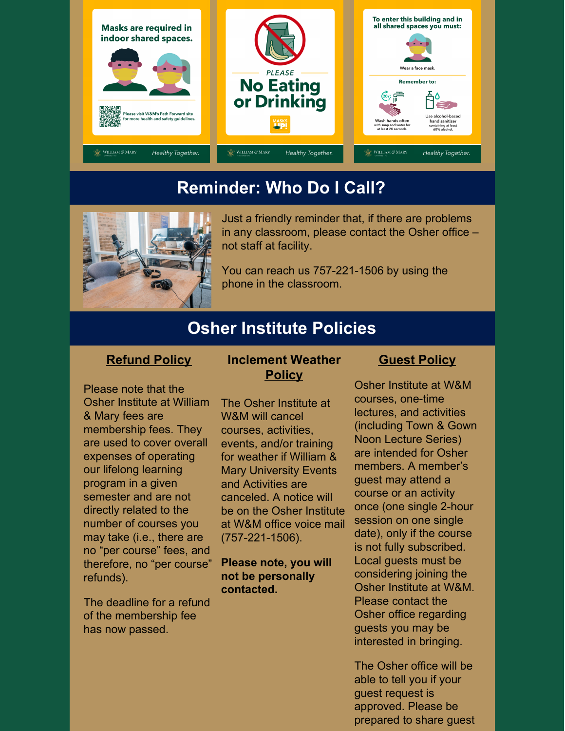

## **Reminder: Who Do I Call?**



Just a friendly reminder that, if there are problems in any classroom, please contact the Osher office – not staff at facility.

You can reach us 757-221-1506 by using the phone in the classroom.

## **Osher Institute Policies**

#### **Refund Policy**

Please note that the Osher Institute at William & Mary fees are membership fees. They are used to cover overall expenses of operating our lifelong learning program in a given semester and are not directly related to the number of courses you may take (i.e., there are no "per course" fees, and therefore, no "per course" refunds).

The deadline for a refund of the membership fee has now passed.

#### **Inclement Weather Policy**

The Osher Institute at W&M will cancel courses, activities, events, and/or training for weather if William & Mary University Events and Activities are canceled. A notice will be on the Osher Institute at W&M office voice mail (757-221-1506).

#### **Please note, you will not be personally contacted.**

#### **Guest Policy**

Osher Institute at W&M courses, one-time lectures, and activities (including Town & Gown Noon Lecture Series) are intended for Osher members. A member's guest may attend a course or an activity once (one single 2-hour session on one single date), only if the course is not fully subscribed. Local guests must be considering joining the Osher Institute at W&M. Please contact the Osher office regarding guests you may be interested in bringing.

The Osher office will be able to tell you if your guest request is approved. Please be prepared to share guest